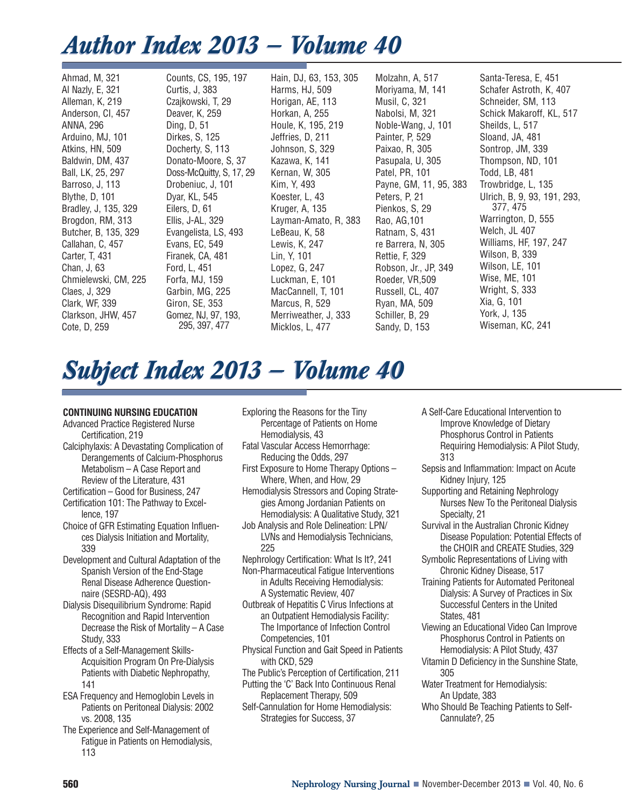# *Author Index 2013 — Volume 40 Author Index 2013 — Volume 40*

Ahmad, M, 321 Al Nazly, E, 321 Alleman, K, 219 Anderson, CI, 457 ANNA, 296 Arduino, MJ, 101 Atkins, HN, 509 Baldwin, DM, 437 Ball, LK, 25, 297 Barroso, J, 113 Blythe, D, 101 Bradley, J, 135, 329 Brogdon, RM, 313 Butcher, B, 135, 329 Callahan, C, 457 Carter, T, 431 Chan, J, 63 Chmielewski, CM, 225 Claes, J, 329 Clark, WF, 339 Clarkson, JHW, 457 Cote, D, 259

Counts, CS, 195, 197 Curtis, J, 383 Czajkowski, T, 29 Deaver, K, 259 Ding, D, 51 Dirkes, S, 125 Docherty, S, 113 Donato-Moore, S, 37 Doss-McQuitty, S, 17, 29 Drobeniuc, J, 101 Dyar, KL, 545 Eilers, D, 61 Ellis, J-AL, 329 Evangelista, LS, 493 Evans, EC, 549 Firanek, CA, 481 Ford, L, 451 Forfa, MJ, 159 Garbin, MG, 225 Giron, SE, 353 Gomez, NJ, 97, 193, 295, 397, 477

Hain, DJ, 63, 153, 305 Harms, HJ, 509 Horigan, AE, 113 Horkan, A, 255 Houle, K, 195, 219 Jeffries, D, 211 Johnson, S, 329 Kazawa, K, 141 Kernan, W, 305 Kim, Y, 493 Koester, L, 43 Kruger, A, 135 Layman-Amato, R, 383 LeBeau, K, 58 Lewis, K, 247 Lin, Y, 101 Lopez, G, 247 Luckman, E, 101 MacCannell, T, 101 Marcus, R, 529 Merriweather, J, 333 Micklos, L, 477

Molzahn, A, 517 Moriyama, M, 141 Musil, C, 321 Nabolsi, M, 321 Noble-Wang, J, 101 Painter, P, 529 Paixao, R, 305 Pasupala, U, 305 Patel, PR, 101 Payne, GM, 11, 95, 383 Peters, P, 21 Pienkos, S, 29 Rao, AG,101 Ratnam, S, 431 re Barrera, N, 305 Rettie, F, 329 Robson, Jr., JP, 349 Roeder, VR,509 Russell, CL, 407 Ryan, MA, 509 Schiller, B, 29 Sandy, D, 153

Santa-Teresa, E, 451 Schafer Astroth, K, 407 Schneider, SM, 113 Schick Makaroff, KL, 517 Sheilds, L, 517 Sloand, JA, 481 Sontrop, JM, 339 Thompson, ND, 101 Todd, LB, 481 Trowbridge, L, 135 Ulrich, B, 9, 93, 191, 293, 377, 475 Warrington, D, 555 Welch, JL 407 Williams, HF, 197, 247 Wilson, B, 339 Wilson, LE, 101 Wise, ME, 101 Wright, S, 333 Xia, G, 101 York, J, 135 Wiseman, KC, 241

# *Subject Index 2013 — Volume 40 Subject Index 2013 — Volume 40*

# **CONTINUING NURSING EDUCATION**

- Advanced Practice Registered Nurse Certification, 219
- Calciphylaxis: A Devastating Complication of Derangements of Calcium-Phosphorus Metabolism – A Case Report and Review of the Literature, 431
- Certification Good for Business, 247
- Certification 101: The Pathway to Excel lence, 197
- Choice of GFR Estimating Equation Influences Dialysis Initiation and Mortality, 339
- Development and Cultural Adaptation of the Spanish Version of the End-Stage Renal Disease Adherence Questionnaire (SESRD-AQ), 493
- Dialysis Disequilibrium Syndrome: Rapid Recognition and Rapid Intervention Decrease the Risk of Mortality – A Case Study, 333
- Effects of a Self-Management Skills-Acquisition Program On Pre-Dialysis Patients with Diabetic Nephropathy, 141
- ESA Frequency and Hemoglobin Levels in Patients on Peritoneal Dialysis: 2002 vs. 2008, 135
- The Experience and Self-Management of Fatigue in Patients on Hemodialysis, 113
- Exploring the Reasons for the Tiny Percentage of Patients on Home Hemodialysis, 43
- Fatal Vascular Access Hemorrhage: Reducing the Odds, 297
- First Exposure to Home Therapy Options Where, When, and How, 29
- Hemodialysis Stressors and Coping Strategies Among Jordanian Patients on Hemodialysis: A Qualitative Study, 321
- Job Analysis and Role Delineation: LPN/ LVNs and Hemodialysis Technicians, 225
- Nephrology Certification: What Is It?, 241
- Non-Pharmaceutical Fatigue Interventions in Adults Receiving Hemodialysis: A Systematic Review, 407
- Outbreak of Hepatitis C Virus Infections at an Outpatient Hemodialysis Facility: The Importance of Infection Control Competencies, 101
- Physical Function and Gait Speed in Patients with CKD, 529
- The Public's Perception of Certification, 211 Putting the 'C' Back Into Continuous Renal Replacement Therapy, 509
- Self-Cannulation for Home Hemodialysis: Strategies for Success, 37
- A Self-Care Educational Intervention to Improve Knowledge of Dietary Phosphorus Control in Patients Requiring Hemodialysis: A Pilot Study, 313
- Sepsis and Inflammation: Impact on Acute Kidney Injury, 125
- Supporting and Retaining Nephrology Nurses New To the Peritoneal Dialysis Specialty, 21
- Survival in the Australian Chronic Kidney Disease Population: Potential Effects of the CHOIR and CREATE Studies, 329
- Symbolic Representations of Living with Chronic Kidney Disease, 517
- Training Patients for Automated Peritoneal Dialysis: A Survey of Practices in Six Successful Centers in the United States, 481
- Viewing an Educational Video Can Improve Phosphorus Control in Patients on Hemodialysis: A Pilot Study, 437
- Vitamin D Deficiency in the Sunshine State, 305
- Water Treatment for Hemodialysis: An Update, 383
- Who Should Be Teaching Patients to Self-Cannulate?, 25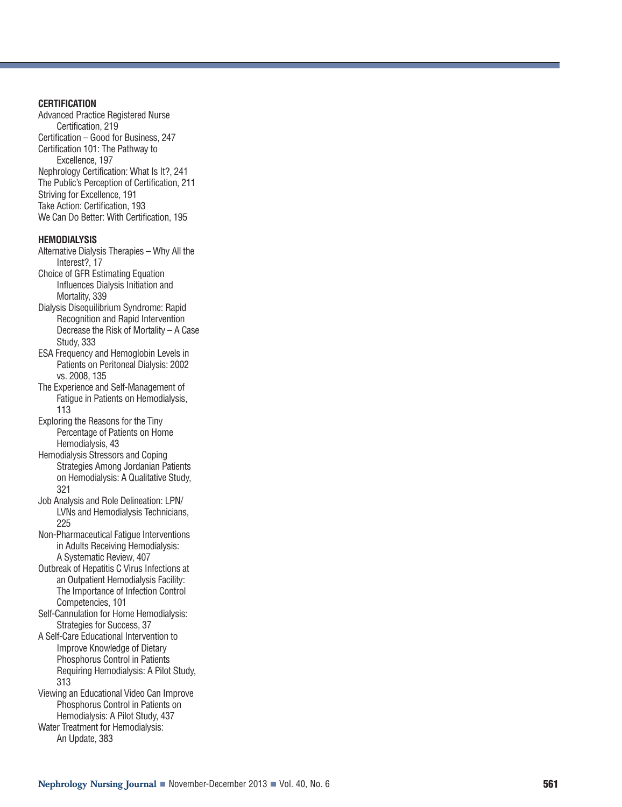## **CERTIFICATION**

Advanced Practice Registered Nurse Certification, 219 Certification – Good for Business, 247 Certification 101: The Pathway to Excellence, 197 Nephrology Certification: What Is It?, 241 The Public's Perception of Certification, 211 Striving for Excellence, 191 Take Action: Certification, 193 We Can Do Better: With Certification, 195

#### **HEMODIALYSIS**

- Alternative Dialysis Therapies Why All the Interest?, 17
- Choice of GFR Estimating Equation In fluences Dialysis Initiation and Mortality, 339
- Dialysis Disequilibrium Syndrome: Rapid Recognition and Rapid Intervention Decrease the Risk of Mortality – A Case Study, 333
- ESA Frequency and Hemoglobin Levels in Patients on Peritoneal Dialysis: 2002 vs. 2008, 135
- The Experience and Self-Management of Fatigue in Patients on Hemodialysis, 113
- Exploring the Reasons for the Tiny Percentage of Patients on Home Hemodialysis, 43
- Hemodialysis Stressors and Coping Strategies Among Jordanian Patients on Hemodialysis: A Qualitative Study, 321
- Job Analysis and Role Delineation: LPN/ LVNs and Hemodialysis Technicians, 225
- Non-Pharmaceutical Fatigue Interventions in Adults Receiving Hemodialysis: A Systematic Review, 407
- Outbreak of Hepatitis C Virus Infections at an Outpatient Hemodialysis Facility: The Importance of Infection Control Competencies, 101
- Self-Cannulation for Home Hemodialysis: Strategies for Success, 37
- A Self-Care Educational Intervention to Improve Knowledge of Dietary Phosphorus Control in Patients Requiring Hemodialysis: A Pilot Study, 313
- Viewing an Educational Video Can Improve Phosphorus Control in Patients on Hemodialysis: A Pilot Study, 437

Water Treatment for Hemodialysis: An Update, 383